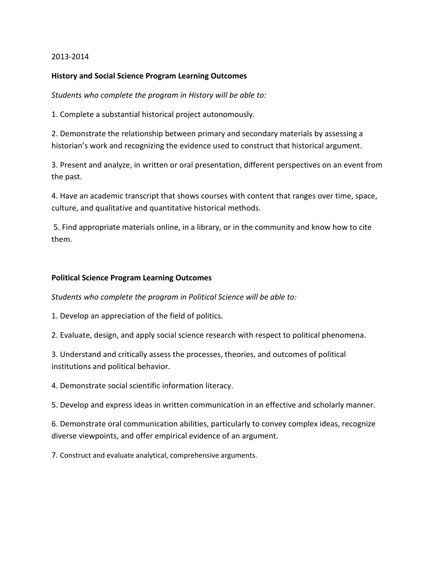# 2013-2014

# **History and Social Science Program Learning Outcomes**

*Students who complete the program in History will be able to:*

1. Complete a substantial historical project autonomously.

2. Demonstrate the relationship between primary and secondary materials by assessing a historian's work and recognizing the evidence used to construct that historical argument.

3. Present and analyze, in written or oral presentation, different perspectives on an event from the past.

4. Have an academic transcript that shows courses with content that ranges over time, space, culture, and qualitative and quantitative historical methods.

5. Find appropriate materials online, in a library, or in the community and know how to cite them.

## **Political Science Program Learning Outcomes**

*Students who complete the program in Political Science will be able to:*

1. Develop an appreciation of the field of politics.

2. Evaluate, design, and apply social science research with respect to political phenomena.

3. Understand and critically assess the processes, theories, and outcomes of political institutions and political behavior.

4. Demonstrate social scientific information literacy.

5. Develop and express ideas in written communication in an effective and scholarly manner.

6. Demonstrate oral communication abilities, particularly to convey complex ideas, recognize diverse viewpoints, and offer empirical evidence of an argument.

7. Construct and evaluate analytical, comprehensive arguments.